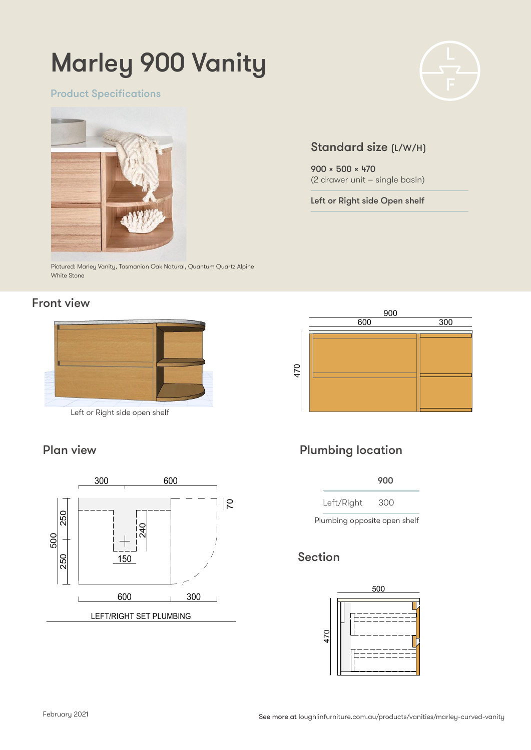# Marley 900 Vanity

Product Specifications



Pictured: Marley Vanity, Tasmanian Oak Natural, Quantum Quartz Alpine White Stone **MARLEY 900 VANITY**

### Front view



Left or Right side open shelf

### Plan view





### Plumbing location

 900 1,500-2,100 450 450

Left/Right 300 Centre 750 900 1050 70

Plumbing opposite open shelf

### Section





### Standard size (L/W/H)

900 x 500 x 470 (2 drawer unit – single basin)

Left or Right side Open shelf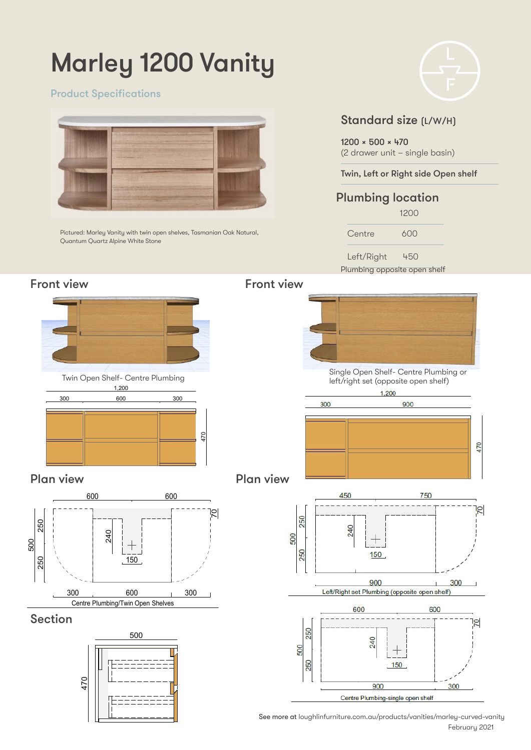# Marley 1200 Vanity

### Product Specifications



Pictured: Marley Vanity with twin open shelves, Tasmanian Oak Natural, Quantum Quartz Alpine White Stone



### Standard size (L/W/H)

1200 x 500 x 470 (2 drawer unit – single basin)

Twin, Left or Right side Open shelf

### Plumbing location

 1200 Centre 600

Left/Right 450

Plumbing opposite open shelf







### Plan view



### Section







February 2021 See more at loughlinfurniture.com.au/products/vanities/marley-curved-vanity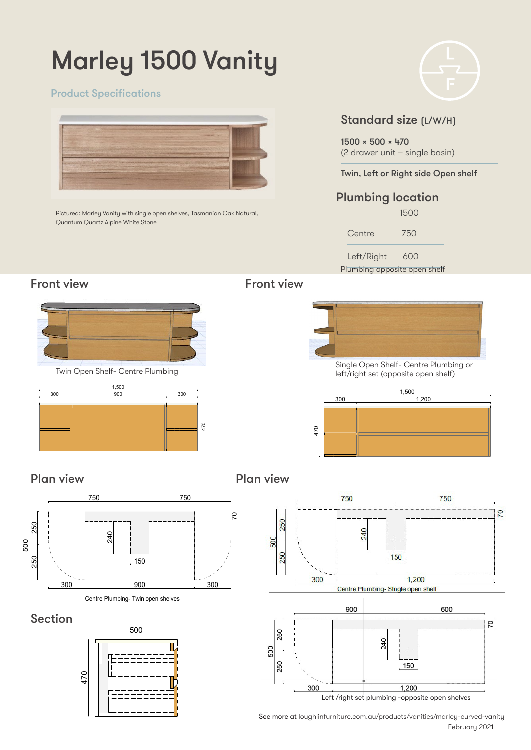# Marley 1500 Vanity

#### Product Specifications



Pictured: Marley Vanity with single open shelves, Tasmanian Oak Natural, Quantum Quartz Alpine White Stone Staples Double Vanity

### Standard size (L/W/H)

1500 x 500 x 470 (2 drawer unit – single basin)

Twin, Left or Right side Open shelf

### Plumbing location

 1500 Centre 750

Left/Right 600

Plumbing opposite open shelf

### **Front view**



Twin Open Shelf- Centre Plumbing



### Front view



**Single Open Shelf- Centre Plumbing or** 300 1,200 1,200 1,200 1,200 1,200 1,200 1,200 1,200 1,200 1,200 1,200 1,200 1,200 1,200 1,200 1,200 1,200 1,20 left/right set (opposite open shelf)



Plan view

2<br>P Plan view



### Section





February 2021 See more at loughlinfurniture.com.au/products/vanities/marley-curved-vanity